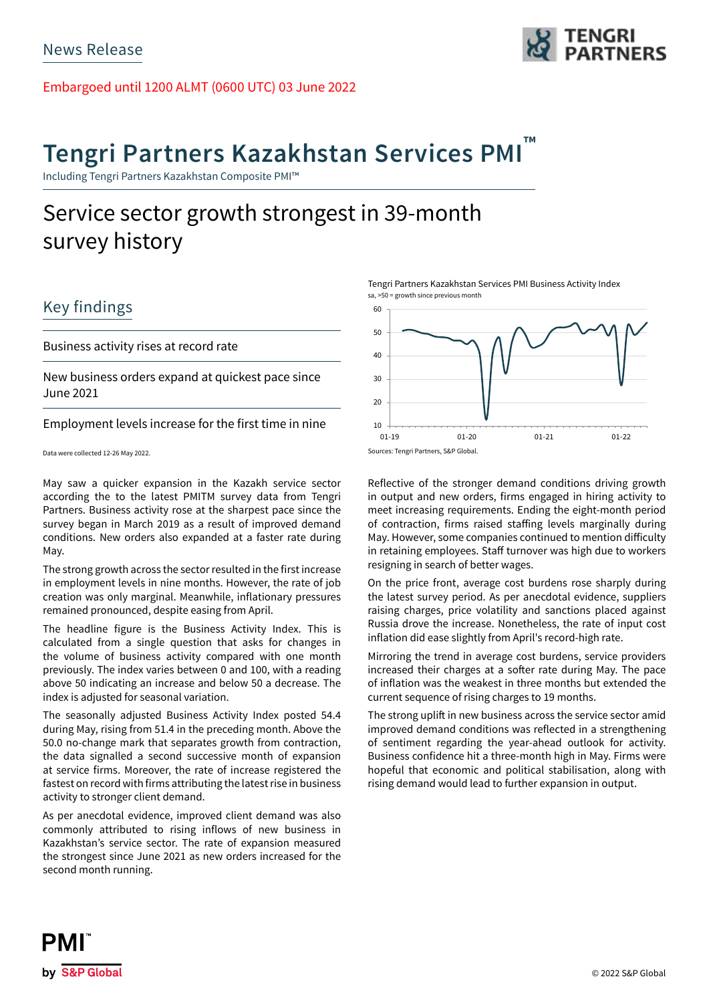Embargoed until 1200 ALMT (0600 UTC) 03 June 2022

# **Tengri Partners Kazakhstan Services PMI ™**

Including Tengri Partners Kazakhstan Composite PMI™

## Service sector growth strongest in 39-month survey history

### Key findings

Business activity rises at record rate

New business orders expand at quickest pace since June 2021

Employment levels increase for the first time in nine

Data were collected 12-26 May 2022.

May saw a quicker expansion in the Kazakh service sector according the to the latest PMITM survey data from Tengri Partners. Business activity rose at the sharpest pace since the survey began in March 2019 as a result of improved demand conditions. New orders also expanded at a faster rate during May.

The strong growth across the sector resulted in the first increase in employment levels in nine months. However, the rate of job creation was only marginal. Meanwhile, inflationary pressures remained pronounced, despite easing from April.

The headline figure is the Business Activity Index. This is calculated from a single question that asks for changes in the volume of business activity compared with one month previously. The index varies between 0 and 100, with a reading above 50 indicating an increase and below 50 a decrease. The index is adjusted for seasonal variation.

The seasonally adjusted Business Activity Index posted 54.4 during May, rising from 51.4 in the preceding month. Above the 50.0 no-change mark that separates growth from contraction, the data signalled a second successive month of expansion at service firms. Moreover, the rate of increase registered the fastest on record with firms attributing the latest rise in business activity to stronger client demand.

As per anecdotal evidence, improved client demand was also commonly attributed to rising inflows of new business in Kazakhstan's service sector. The rate of expansion measured the strongest since June 2021 as new orders increased for the second month running.

Tengri Partners Kazakhstan Services PMI Business Activity Index sa, >50 = growth since previous month



Reflective of the stronger demand conditions driving growth in output and new orders, firms engaged in hiring activity to meet increasing requirements. Ending the eight-month period of contraction, firms raised staffing levels marginally during May. However, some companies continued to mention difficulty in retaining employees. Staff turnover was high due to workers resigning in search of better wages.

On the price front, average cost burdens rose sharply during the latest survey period. As per anecdotal evidence, suppliers raising charges, price volatility and sanctions placed against Russia drove the increase. Nonetheless, the rate of input cost inflation did ease slightly from April's record-high rate.

Mirroring the trend in average cost burdens, service providers increased their charges at a softer rate during May. The pace of inflation was the weakest in three months but extended the current sequence of rising charges to 19 months.

The strong uplift in new business across the service sector amid improved demand conditions was reflected in a strengthening of sentiment regarding the year-ahead outlook for activity. Business confidence hit a three-month high in May. Firms were hopeful that economic and political stabilisation, along with rising demand would lead to further expansion in output.

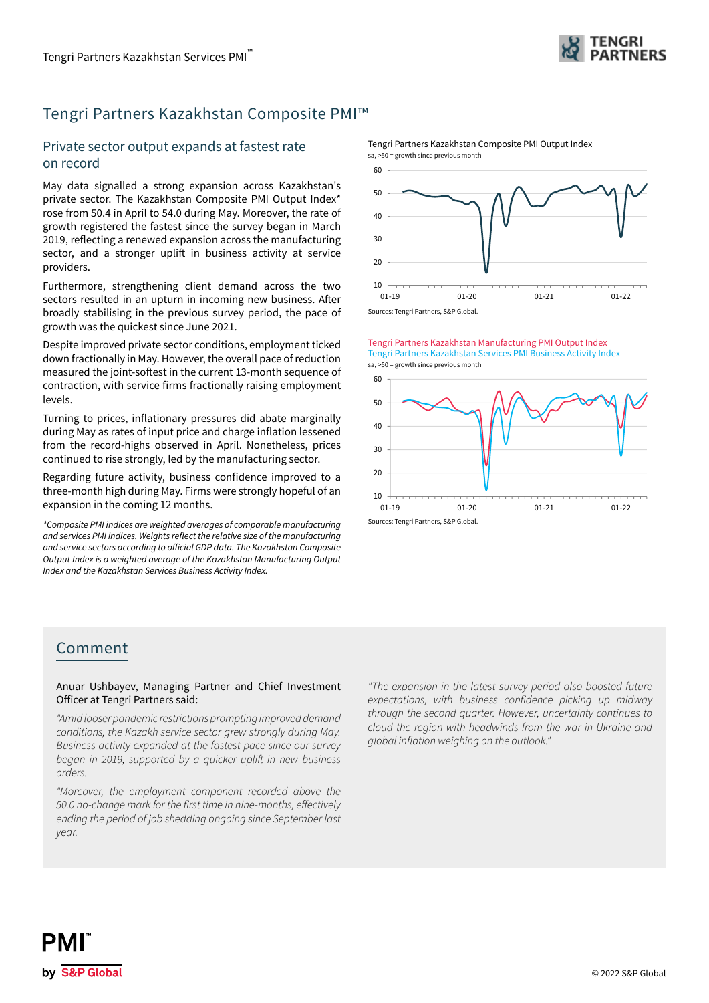

### Tengri Partners Kazakhstan Composite PMI™

### Private sector output expands at fastest rate on record

May data signalled a strong expansion across Kazakhstan's private sector. The Kazakhstan Composite PMI Output Index\* rose from 50.4 in April to 54.0 during May. Moreover, the rate of growth registered the fastest since the survey began in March 2019, reflecting a renewed expansion across the manufacturing sector, and a stronger uplift in business activity at service providers.

Furthermore, strengthening client demand across the two sectors resulted in an upturn in incoming new business. After broadly stabilising in the previous survey period, the pace of growth was the quickest since June 2021.

Despite improved private sector conditions, employment ticked down fractionally in May. However, the overall pace of reduction measured the joint-softest in the current 13-month sequence of contraction, with service firms fractionally raising employment levels.

Turning to prices, inflationary pressures did abate marginally during May as rates of input price and charge inflation lessened from the record-highs observed in April. Nonetheless, prices continued to rise strongly, led by the manufacturing sector.

Regarding future activity, business confidence improved to a three-month high during May. Firms were strongly hopeful of an expansion in the coming 12 months.

*\*Composite PMI indices are weighted averages of comparable manufacturing*  and services PMI indices. Weights reflect the relative size of the manufacturing and service sectors according to official GDP data. The Kazakhstan Composite Output Index is a weighted average of the Kazakhstan Manufacturing Output Index and the Kazakhstan Services Business Activity Index.

 $10$ 20 30 40 50  $60$ 01-19 01-20 01-21 01-22 sa, >50 = growth since previous month

Tengri Partners Kazakhstan Composite PMI Output Index



Tengri Partners Kazakhstan Manufacturing PMI Output Index sa, >50 = growth since previous month Tengri Partners Kazakhstan Services PMI Business Activity Index



### Comment

Anuar Ushbayev, Managing Partner and Chief Investment Officer at Tengri Partners said:

*"Amid looser pandemic restrictions prompting improved demand conditions, the Kazakh service sector grew strongly during May. Business activity expanded at the fastest pace since our survey*  began in 2019, supported by a quicker uplift in new business *orders.* 

*"Moreover, the employment component recorded above the*  50.0 no-change mark for the first time in nine-months, effectively *ending the period of job shedding ongoing since September last year.* 

*"The expansion in the latest survey period also boosted future*  expectations, with business confidence picking up midway *through the second quarter. However, uncertainty continues to cloud the region with headwinds from the war in Ukraine and*  global inflation weighing on the outlook."